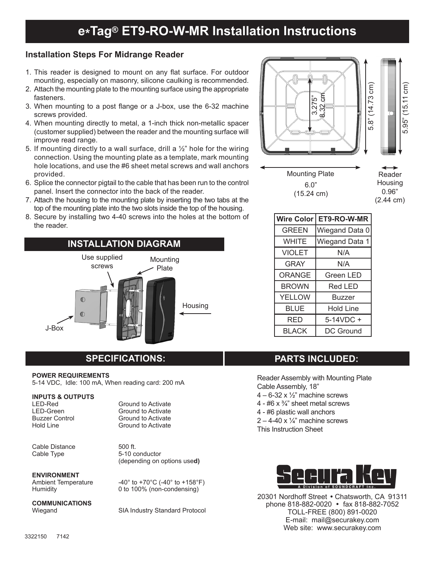## **Installation Steps For Midrange Reader**

- 1. This reader is designed to mount on any flat surface. For outdoor mounting, especially on masonry, silicone caulking is recommended.
- 2. Attach the mounting plate to the mounting surface using the appropriate fasteners.
- 3. When mounting to a post flange or a J-box, use the 6-32 machine screws provided.
- 4. When mounting directly to metal, a 1-inch thick non-metallic spacer (customer supplied) between the reader and the mounting surface will improve read range.
- 5. If mounting directly to a wall surface, drill a  $\frac{1}{2}$ " hole for the wiring connection. Using the mounting plate as a template, mark mounting hole locations, and use the #6 sheet metal screws and wall anchors provided.
- 6. Splice the connector pigtail to the cable that has been run to the control panel. Insert the connector into the back of the reader.
- 7. Attach the housing to the mounting plate by inserting the two tabs at the top of the mounting plate into the two slots inside the top of the housing.
- 8. Secure by installing two 4-40 screws into the holes at the bottom of the reader.





| <b>Wire Color</b> | ET9-RO-W-MR      |
|-------------------|------------------|
| <b>GREEN</b>      | Wiegand Data 0   |
| <b>WHITE</b>      | Wiegand Data 1   |
| <b>VIOLET</b>     | N/A              |
| <b>GRAY</b>       | N/A              |
| ORANGE            | Green LED        |
| <b>BROWN</b>      | Red LED          |
| <b>YELLOW</b>     | Buzzer           |
| BL UE             | <b>Hold Line</b> |
| RED               | 5-14VDC +        |
| <b>BLACK</b>      | DC Ground        |

# **SPECIFICATIONS:**

#### **POWER REQUIREMENTS**

5-14 VDC, Idle: 100 mA, When reading card: 200 mA

#### **INPUTS & OUTPUTS**

Cable Distance 500 ft.<br>Cable Type 5-10 c

LED-Red Ground to Activate<br>
LED-Green Ground to Activate LED-Green Ground to Activate<br>
Buzzer Control Ground to Activate Buzzer Control Ground to Activate<br>
Hold Line Ground to Activate Ground to Activate

> 5-10 conductor (depending on options use**d)**

# **ENVIRONMENT**<br>Ambient Temperature

**COMMUNICATIONS**

Ambient Temperature  $-40^{\circ}$  to +70°C (-40° to +158°F)<br>Humidity 0 to 100% (non-condensing) 0 to 100% (non-condensing)

SIA Industry Standard Protocol

## **PARTS INCLUDED:**

Reader Assembly with Mounting Plate Cable Assembly, 18"

- $4 6 32 \times \frac{1}{2}$  machine screws
- 4  $#6 \times \frac{3}{4}$ " sheet metal screws
- 4 #6 plastic wall anchors
- $2 4 40 \times \frac{1}{4}$  machine screws
- This Instruction Sheet



20301 Nordhoff Street . Chatsworth, CA 91311 phone 818-882-0020 • fax 818-882-7052 TOLL-FREE (800) 891-0020 E-mail: mail@securakey.com Web site: www.securakey.com